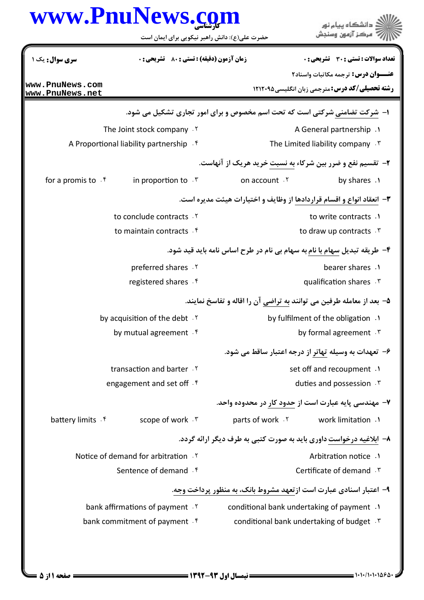|                                          | www.PnuNews.com                                                           |                                               | د دانشگاه پيام نور<br>مركز آزمون وسنجش                                                              |
|------------------------------------------|---------------------------------------------------------------------------|-----------------------------------------------|-----------------------------------------------------------------------------------------------------|
|                                          | حضرت علی(ع): دانش راهبر نیکویی برای ایمان است                             |                                               |                                                                                                     |
| سری سوال: یک ۱                           | زمان آزمون (دقيقه) : تستى : 80 ٪ تشريحي : 0                               |                                               | تعداد سوالات : تستي : 30 ٪ تشريحي : 0                                                               |
| www.PnuNews.com<br>www.PnuNews.net       |                                                                           |                                               | <b>عنـــوان درس:</b> ترجمه مكاتبات واسناد٢<br><b>رشته تحصیلی/کد درس:</b> مترجمی زبان انگلیسی4۲۱۲۰۹۵ |
|                                          | ۱– شرکت تضامنی شرکتی است که تحت اسم مخصوص و برای امور تجاری تشکیل می شود. |                                               |                                                                                                     |
|                                          | The Joint stock company . Y                                               |                                               | A General partnership .1                                                                            |
| A Proportional liability partnership . f |                                                                           | The Limited liability company $\cdot$ $\cdot$ |                                                                                                     |
|                                          |                                                                           |                                               | ۲- تقسیم نفع و ضرر بین شرکاء به نسبت خرید هریک از آنهاست.                                           |
| for a promis to . f                      | in proportion to $\cdot$ $\cdot$                                          | on account . Y                                | by shares .1                                                                                        |
|                                          |                                                                           |                                               | ۳- انعقاد انواع و اقسام قراردادها از وظایف و اختیارات هیئت مدیره است.                               |
|                                          | to conclude contracts . Y                                                 |                                               | to write contracts .1                                                                               |
|                                          | to maintain contracts f                                                   |                                               | to draw up contracts r                                                                              |
|                                          |                                                                           |                                               | ۴- طریقه تبدیل سهام با نام به سهام بی نام در طرح اساس نامه باید قید شود.                            |
|                                          | preferred shares . Y                                                      |                                               | bearer shares .                                                                                     |
|                                          | registered shares . f                                                     |                                               | qualification shares . \v                                                                           |
|                                          |                                                                           |                                               | ۵– بعد از معامله طرفین می توانند به تراضی آن را اقاله و تفاسخ نمایند.                               |
|                                          | by acquisition of the debt . Y                                            |                                               | by fulfilment of the obligation .                                                                   |
|                                          | by mutual agreement f                                                     |                                               | by formal agreement . r                                                                             |
|                                          |                                                                           |                                               | ۶– تعهدات به وسیله تهاتر از درجه اعتبار ساقط می شود.                                                |
|                                          | transaction and barter.                                                   |                                               | set off and recoupment .1                                                                           |
|                                          | engagement and set off f                                                  |                                               | duties and possession F                                                                             |
|                                          |                                                                           |                                               | ۷– مهندسی پایه عبارت است از حدود کار در محدوده واحد.                                                |
| battery limits . f                       | scope of work . ٣                                                         |                                               | parts of work . Y work limitation . Y                                                               |
|                                          |                                                                           |                                               | ۸– ابلاغیه درخواست داوری باید به صورت کتبی به طرف دیگر ارائه گردد.                                  |
| Notice of demand for arbitration Y       |                                                                           |                                               | Arbitration notice .1                                                                               |
|                                          | Sentence of demand f                                                      |                                               | Certificate of demand . ٣                                                                           |
|                                          |                                                                           |                                               | ۹- اعتبار اسنادی عبارت است ازتعهد مشروط بانک، به منظور پرداخت وجه.                                  |
|                                          | bank affirmations of payment . Y                                          |                                               | conditional bank undertaking of payment .1                                                          |
|                                          | bank commitment of payment f                                              |                                               | conditional bank undertaking of budget . \vark                                                      |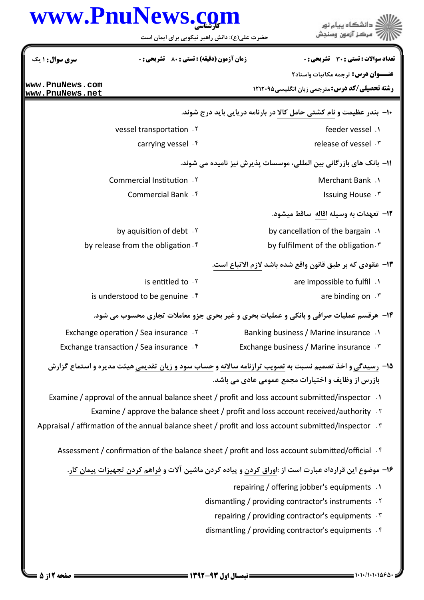|                                                                                      | www.PnuNews.com                                                                                 | د دانشگاه پيام نور<br>ً مرڪز آزمون وسنڊش                                                                               |  |
|--------------------------------------------------------------------------------------|-------------------------------------------------------------------------------------------------|------------------------------------------------------------------------------------------------------------------------|--|
|                                                                                      | حضرت علی(ع): دانش راهبر نیکویی برای ایمان است                                                   |                                                                                                                        |  |
| سری سوال: ۱ یک                                                                       | <b>زمان آزمون (دقیقه) : تستی : 80 گشریحی : 0</b>                                                | تعداد سوالات : تستي : 30 ٪ تشريحي : 0                                                                                  |  |
|                                                                                      |                                                                                                 | <b>عنـــوان درس:</b> ترجمه مکاتبات واسناد۲                                                                             |  |
| www.PnuNews.com<br>www.PnuNews.net                                                   |                                                                                                 | <b>رشته تحصیلی/کد درس: مترجمی زبان انگلیسی ۱۲۱۲۰۹۵</b>                                                                 |  |
|                                                                                      |                                                                                                 | ∙ا− بندر عظیمت و نام کشتی حامل کالا در بارنامه دریایی باید درج شوند.                                                   |  |
|                                                                                      | vessel transportation . Y                                                                       | feeder vessel.                                                                                                         |  |
|                                                                                      | carrying vessel . f                                                                             | release of vessel . ٣                                                                                                  |  |
|                                                                                      |                                                                                                 | 1۱– بانک های بازرگانی بین المللی، موسسات پذیرش نیز نامیده می شوند.                                                     |  |
|                                                                                      | <b>Commercial Institution 17</b>                                                                | Merchant Bank . \                                                                                                      |  |
|                                                                                      | Commercial Bank . f                                                                             | Issuing House . \v                                                                                                     |  |
|                                                                                      |                                                                                                 | 1۲- تعهدات به وسیله اقاله ساقط میشود.                                                                                  |  |
|                                                                                      | by aquisition of debt . Y                                                                       | by cancellation of the bargain .                                                                                       |  |
|                                                                                      | by release from the obligation. $f$                                                             | by fulfilment of the obligation. \vari                                                                                 |  |
|                                                                                      |                                                                                                 | ۱۳- عقودي كه بر طبق قانون واقع شده باشد لازم الاتباع است.                                                              |  |
|                                                                                      | is entitled to . Y                                                                              | are impossible to fulfil .                                                                                             |  |
|                                                                                      | is understood to be genuine.                                                                    | are binding on $\cdot$ $\cdot$                                                                                         |  |
|                                                                                      |                                                                                                 | ۱۴- هرقسم عملیات صرافی و بانکی و عملیات بحری و غیر بحری جزو معاملات تجاری محسوب می شود.                                |  |
|                                                                                      | Exchange operation / Sea insurance . ٢                                                          | <b>Banking business / Marine insurance</b> .1                                                                          |  |
|                                                                                      | Exchange transaction / Sea insurance .f                                                         | Exchange business / Marine insurance . ٣                                                                               |  |
|                                                                                      |                                                                                                 | <b>۱۵</b> - رسیدگی و اخذ تصمیم نسبت به <u>تصویب ترازنامه سالانه و حساب سود و زیان تقدیمی</u> هیئت مدیره و استماع گزارش |  |
|                                                                                      |                                                                                                 | بازرس از وظایف و اختیارات مجمع عمومی عادی می باشد.                                                                     |  |
|                                                                                      | Examine / approval of the annual balance sheet / profit and loss account submitted/inspector .1 |                                                                                                                        |  |
| Examine / approve the balance sheet / profit and loss account received/authority . Y |                                                                                                 |                                                                                                                        |  |
|                                                                                      |                                                                                                 | Appraisal / affirmation of the annual balance sheet / profit and loss account submitted/inspector $\cdot$ *            |  |
|                                                                                      |                                                                                                 | Assessment / confirmation of the balance sheet / profit and loss account submitted/official f                          |  |
|                                                                                      |                                                                                                 | ۱۶– موضوع این قرارداد عبارت است از :اوراق کردن و پیاده کردن ماشین آلات و فراهم کردن تجهیزات پیمان کار.                 |  |
|                                                                                      |                                                                                                 | repairing / offering jobber's equipments .1                                                                            |  |
|                                                                                      |                                                                                                 | dismantling / providing contractor's instruments Y                                                                     |  |
|                                                                                      |                                                                                                 | repairing / providing contractor's equipments .                                                                        |  |
|                                                                                      |                                                                                                 | dismantling / providing contractor's equipments f                                                                      |  |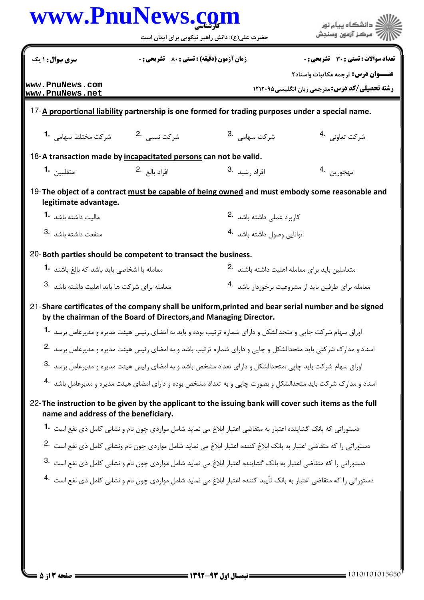|                                                                   |                                             | حضرت علی(ع): دانش راهبر نیکویی برای ایمان است                                                                                     | 7' مرڪز آزمون وسنڊش                                                                            |  |
|-------------------------------------------------------------------|---------------------------------------------|-----------------------------------------------------------------------------------------------------------------------------------|------------------------------------------------------------------------------------------------|--|
| <b>سری سوال : ۱ یک</b>                                            | زمان آزمون (دقيقه) : تستى : 80 ٪ تشريحي : 0 |                                                                                                                                   | تعداد سوالات : تستي : 30 ٪ تشريحي : 0                                                          |  |
|                                                                   |                                             |                                                                                                                                   | <b>عنـــوان درس:</b> ترجمه مكاتبات واسناد٢                                                     |  |
| www.PnuNews.com<br>www.PnuNews.net                                |                                             |                                                                                                                                   | <b>رشته تحصیلی/کد درس: مترجمی زبان انگلیسی ۱۲۱۲۰۹۵</b>                                         |  |
|                                                                   |                                             | 17-A proportional liability partnership is one formed for trading purposes under a special name.                                  |                                                                                                |  |
|                                                                   |                                             | شركت سهامي . <sup>3</sup>                                                                                                         | شركت تعاوني 4.                                                                                 |  |
| 18-A transaction made by incapacitated persons can not be valid.  |                                             |                                                                                                                                   |                                                                                                |  |
| متقليين 1.                                                        | افراد بالغ <sup>.2</sup>                    | افراد <sub>د</sub> شيد <sup>.3</sup>                                                                                              | مهجورين 4.                                                                                     |  |
| legitimate advantage.                                             |                                             |                                                                                                                                   | 19-The object of a contract must be capable of being owned and must embody some reasonable and |  |
| ماليت داشته باشد 1.                                               |                                             | كاربرد عملى داشته باشد 2.                                                                                                         |                                                                                                |  |
| 3. منفعت داشته باشد                                               |                                             | توانایی وصول داشته باشد <sup>4</sup> ۰                                                                                            |                                                                                                |  |
| 20-Both parties should be competent to transact the business.     |                                             |                                                                                                                                   |                                                                                                |  |
| معامله با اشخاصی باید باشد که بالغ باشند <b>1</b> ۰               |                                             |                                                                                                                                   | متعاملین باید برای معامله اهلیت داشته باشند <sup>.2</sup>                                      |  |
| معامله برای شرکت ها باید اهلیت داشته باشد 3.                      |                                             |                                                                                                                                   | معامله برای طرفین باید از مشروعیت برخوردار باشد <sup>4.</sup>                                  |  |
| by the chairman of the Board of Directors, and Managing Director. |                                             | 21-Share certificates of the company shall be uniform, printed and bear serial number and be signed                               |                                                                                                |  |
|                                                                   |                                             | اوراق سهام شرکت چاپی و متحدالشکل و دارای شماره ترتیب بوده و باید به امضای رئیس هیئت مدیره و مدیرعامل برسد <b>1۰</b>               |                                                                                                |  |
|                                                                   |                                             | اسناد و مدارک شرکتی باید متحدالشکل و چاپی و دارای شماره ترتیب باشد و به امضای رئیس هیئت مدیره و مدیرعامل برسد 2.                  |                                                                                                |  |
|                                                                   |                                             | اوراق سهام شرکت باید چاپی ،متحدالشکل و دارای تعداد مشخص باشد و به امضای رئیس هیئت مدیره و مدیرعامل برسد 3.                        |                                                                                                |  |
|                                                                   |                                             | اسناد و مدارک شرکت باید متحدالشکل و بصورت چاپی و به تعداد مشخص بوده و دارای امضای هیئت مدیره و مدیرعامل باشد <sup>8</sup> ۰       |                                                                                                |  |
|                                                                   |                                             |                                                                                                                                   |                                                                                                |  |
| name and address of the beneficiary.                              |                                             | 22- The instruction to be given by the applicant to the issuing bank will cover such items as the full                            |                                                                                                |  |
|                                                                   |                                             | دستوراتی که بانک گشاینده اعتبار به متقاضی اعتبار ابلاغ می نماید شامل مواردی چون نام و نشانی کامل ذی نفع است <b>1</b>              |                                                                                                |  |
|                                                                   |                                             | دستوراتی را که متقاضی اعتبار به بانک ابلاغ کننده اعتبار ابلاغ می نماید شامل مواردی چون نام ونشانی کامل ذی نفع است <sup>.2</sup>   |                                                                                                |  |
|                                                                   |                                             | دستوراتی را که متقاضی اعتبار به بانک گشاینده اعتبار ابلاغ می نماید شامل مواردی چون نام و نشانی کامل ذی نفع است <sup>.</sup> 3     |                                                                                                |  |
|                                                                   |                                             | دستوراتی را که متقاضی اعتبار به بانک تأیید کننده اعتبار ابلاغ می نماید شامل مواردی چون نام و نشانی کامل ذی نفع است <sup>4</sup> ۰ |                                                                                                |  |
|                                                                   |                                             |                                                                                                                                   |                                                                                                |  |
|                                                                   |                                             |                                                                                                                                   |                                                                                                |  |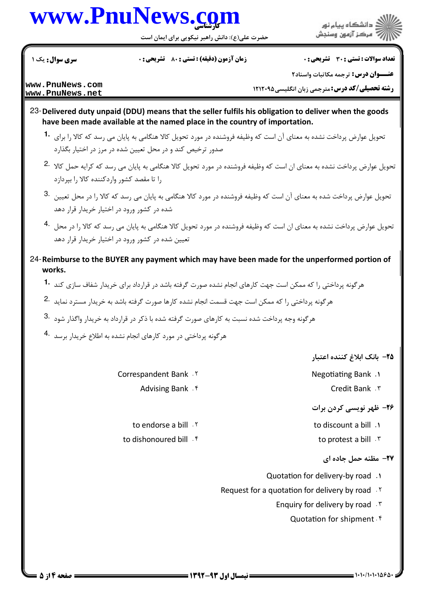## www.PnuNews.con

حضرت علی(ع): دانش راهبر نیکویی برای ایمان است

سری سوال : یک ۱

**زمان آزمون (دقیقه) : تستی : 80 ٪ تشریحی : 0** 

تعداد سوالات : تستى : 30 - تشريحي : 0

:<br>د انشگاه پیام نور ۔<br>مرڪز آزمون وسنجش

عنــوان درس: ترجمه مكاتبات واسناد٢

www.PnuNews.com www.PnuNews.net

**رشته تحصیلی/کد درس: مترجمی زبان انگلیسی401201 ا** 

- 23-Delivered duty unpaid (DDU) means that the seller fulfils his obligation to deliver when the goods have been made available at the named place in the country of importation.
	- تحویل عوارض پرداخت نشده به معنای آن است که وظیفه فروشنده در مورد تحویل کالا هنگامی به پایان می رسد که کالا را برای 1 صدور ترخیص کند و در محل تعیین شده در مرز در اختیار بگذارد
	- تحویل عوارض پرداخت نشده به معنای ان است که وظیفه فروشنده در مورد تحویل کالا هنگامی به پایان می رسد که کرایه حمل کالا <sup>2.</sup> را تا مقصد کشور واردکننده کالا را بیردازد
	- تحویل عوارض پرداخت شده به معنای آن است که وظیفه فروشنده در مورد کالا هنگامی به پایان می رسد که کالا را در محل تعیین  $\cdot$ 3 شده در کشور ورود در اختیار خریدار قرار دهد
	- .<br>تحویل عوارض پرداخت نشده به معنای ان است که وظیفه فروشنده در مورد تحویل کالا هنگامی به پایان می رسد که کالا را در محل تعیین شده در کشور ورود در اختیار خریدار قرار دهد
- 24-Reimburse to the BUYER any payment which may have been made for the unperformed portion of works.
	- هرگونه پرداختی را که ممکن است جهت کارهای انجام نشده صورت گرفته باشد در قرارداد برای خریدار شفاف سازی کند **1۰**
	- هرگونه پرداختی را که ممکن است جهت قسمت انجام نشده کارها صورت گرفته باشد به خریدار مسترد نماید 2.
	- هرگونه وجه پرداخت شده نسبت به کارهای صورت گرفته شده با ذکر در قرارداد به خریدار واگذار شود 8.
	- هرگونه پرداختی در مورد کارهای انجام نشده به اطلاع خریدار برسد 4

Correspandent Bank . Y

Advising Bank . f

to endorse a bill . Y

to dishonoured bill. f

- ٢۵– بانک ابلاغ کننده اعتبار
- Negotiating Bank .1
	- Credit Bank . ٣

## ۲۶- ظهر نویسی کردن برات

- to discount a bill .1
	- to protest a bill . ٣
		- ٢٧- مظنه حمل جاده ای
- Quotation for delivery-by road .1
- Request for a quotation for delivery by road . Y
	- Enquiry for delivery by road . \v
		- Quotation for shipment f